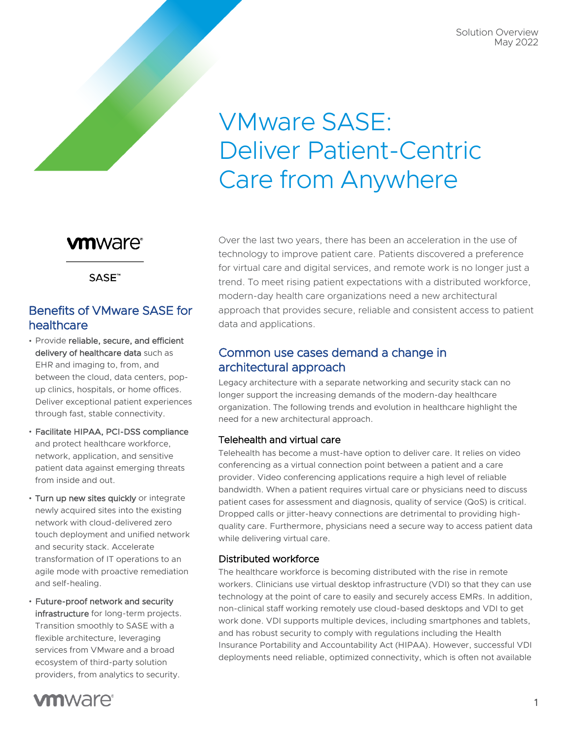Solution Overview May 2022

# VMware SASE: Deliver Patient-Centric Care from Anywhere

## **vm**ware<sup>®</sup>

SASE<sup>™</sup>

## Benefits of VMware SASE for healthcare

- Provide reliable, secure, and efficient delivery of healthcare data such as EHR and imaging to, from, and between the cloud, data centers, popup clinics, hospitals, or home offices. Deliver exceptional patient experiences through fast, stable connectivity.
- Facilitate HIPAA, PCI-DSS compliance and protect healthcare workforce, network, application, and sensitive patient data against emerging threats from inside and out.
- Turn up new sites quickly or integrate newly acquired sites into the existing network with cloud-delivered zero touch deployment and unified network and security stack. Accelerate transformation of IT operations to an agile mode with proactive remediation and self-healing.
- Future-proof network and security infrastructure for long-term projects. Transition smoothly to SASE with a flexible architecture, leveraging services from VMware and a broad ecosystem of third-party solution providers, from analytics to security.

Over the last two years, there has been an acceleration in the use of technology to improve patient care. Patients discovered a preference for virtual care and digital services, and remote work is no longer just a trend. To meet rising patient expectations with a distributed workforce, modern-day health care organizations need a new architectural approach that provides secure, reliable and consistent access to patient data and applications.

## Common use cases demand a change in architectural approach

Legacy architecture with a separate networking and security stack can no longer support the increasing demands of the modern-day healthcare organization. The following trends and evolution in healthcare highlight the need for a new architectural approach.

#### Telehealth and virtual care

Telehealth has become a must-have option to deliver care. It relies on video conferencing as a virtual connection point between a patient and a care provider. Video conferencing applications require a high level of reliable bandwidth. When a patient requires virtual care or physicians need to discuss patient cases for assessment and diagnosis, quality of service (QoS) is critical. Dropped calls or jitter-heavy connections are detrimental to providing highquality care. Furthermore, physicians need a secure way to access patient data while delivering virtual care.

#### Distributed workforce

The healthcare workforce is becoming distributed with the rise in remote workers. Clinicians use virtual desktop infrastructure (VDI) so that they can use technology at the point of care to easily and securely access EMRs. In addition, non-clinical staff working remotely use cloud-based desktops and VDI to get work done. VDI supports multiple devices, including smartphones and tablets, and has robust security to comply with regulations including the Health Insurance Portability and Accountability Act (HIPAA). However, successful VDI deployments need reliable, optimized connectivity, which is often not available

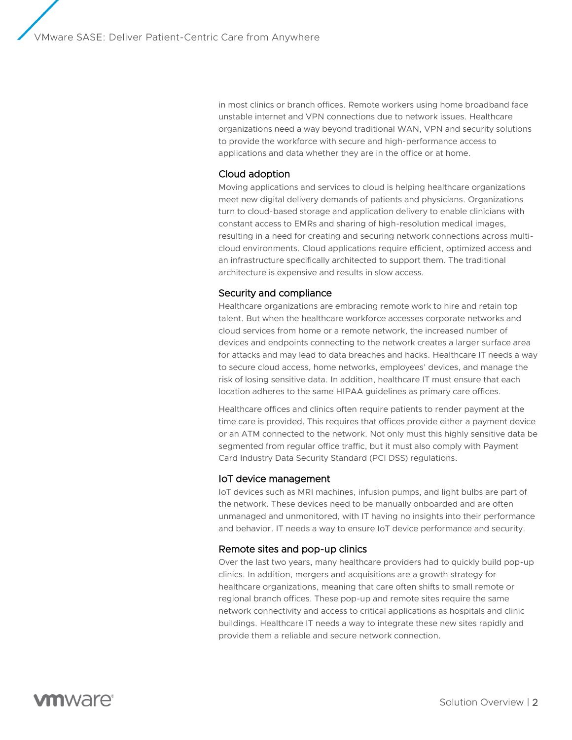in most clinics or branch offices. Remote workers using home broadband face unstable internet and VPN connections due to network issues. Healthcare organizations need a way beyond traditional WAN, VPN and security solutions to provide the workforce with secure and high-performance access to applications and data whether they are in the office or at home.

#### Cloud adoption

Moving applications and services to cloud is helping healthcare organizations meet new digital delivery demands of patients and physicians. Organizations turn to cloud-based storage and application delivery to enable clinicians with constant access to EMRs and sharing of high-resolution medical images, resulting in a need for creating and securing network connections across multicloud environments. Cloud applications require efficient, optimized access and an infrastructure specifically architected to support them. The traditional architecture is expensive and results in slow access.

#### Security and compliance

Healthcare organizations are embracing remote work to hire and retain top talent. But when the healthcare workforce accesses corporate networks and cloud services from home or a remote network, the increased number of devices and endpoints connecting to the network creates a larger surface area for attacks and may lead to data breaches and hacks. Healthcare IT needs a way to secure cloud access, home networks, employees' devices, and manage the risk of losing sensitive data. In addition, healthcare IT must ensure that each location adheres to the same HIPAA guidelines as primary care offices.

Healthcare offices and clinics often require patients to render payment at the time care is provided. This requires that offices provide either a payment device or an ATM connected to the network. Not only must this highly sensitive data be segmented from regular office traffic, but it must also comply with Payment Card Industry Data Security Standard (PCI DSS) regulations.

#### IoT device management

IoT devices such as MRI machines, infusion pumps, and light bulbs are part of the network. These devices need to be manually onboarded and are often unmanaged and unmonitored, with IT having no insights into their performance and behavior. IT needs a way to ensure IoT device performance and security.

#### Remote sites and pop-up clinics

Over the last two years, many healthcare providers had to quickly build pop-up clinics. In addition, mergers and acquisitions are a growth strategy for healthcare organizations, meaning that care often shifts to small remote or regional branch offices. These pop-up and remote sites require the same network connectivity and access to critical applications as hospitals and clinic buildings. Healthcare IT needs a way to integrate these new sites rapidly and provide them a reliable and secure network connection.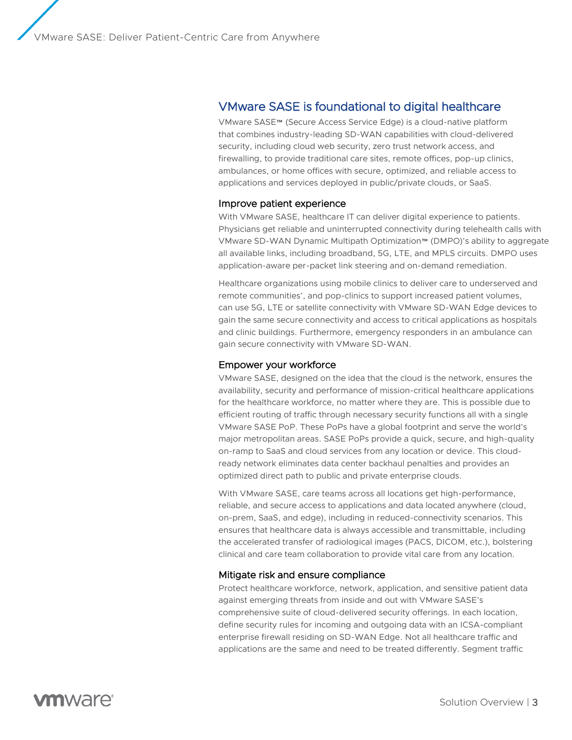## VMware SASE is foundational to digital healthcare

VMware SASE™ (Secure Access Service Edge) is a cloud-native platform that combines industry-leading SD-WAN capabilities with cloud-delivered security, including cloud web security, zero trust network access, and firewalling, to provide traditional care sites, remote offices, pop-up clinics, ambulances, or home offices with secure, optimized, and reliable access to applications and services deployed in public/private clouds, or SaaS.

#### Improve patient experience

With VMware SASE, healthcare IT can deliver digital experience to patients. Physicians get reliable and uninterrupted connectivity during telehealth calls with VMware SD-WAN Dynamic Multipath Optimization™ (DMPO)'s ability to aggregate all available links, including broadband, 5G, LTE, and MPLS circuits. DMPO uses application-aware per-packet link steering and on-demand remediation.

Healthcare organizations using mobile clinics to deliver care to underserved and remote communities', and pop-clinics to support increased patient volumes, can use 5G, LTE or satellite connectivity with VMware SD-WAN Edge devices to gain the same secure connectivity and access to critical applications as hospitals and clinic buildings. Furthermore, emergency responders in an ambulance can gain secure connectivity with VMware SD-WAN.

#### Empower your workforce

VMware SASE, designed on the idea that the cloud is the network, ensures the availability, security and performance of mission-critical healthcare applications for the healthcare workforce, no matter where they are. This is possible due to efficient routing of traffic through necessary security functions all with a single VMware SASE PoP. These PoPs have a global footprint and serve the world's major metropolitan areas. SASE PoPs provide a quick, secure, and high-quality on-ramp to SaaS and cloud services from any location or device. This cloudready network eliminates data center backhaul penalties and provides an optimized direct path to public and private enterprise clouds.

With VMware SASE, care teams across all locations get high-performance, reliable, and secure access to applications and data located anywhere (cloud, on-prem, SaaS, and edge), including in reduced-connectivity scenarios. This ensures that healthcare data is always accessible and transmittable, including the accelerated transfer of radiological images (PACS, DICOM, etc.), bolstering clinical and care team collaboration to provide vital care from any location.

#### Mitigate risk and ensure compliance

Protect healthcare workforce, network, application, and sensitive patient data against emerging threats from inside and out with VMware SASE's comprehensive suite of cloud-delivered security offerings. In each location, define security rules for incoming and outgoing data with an ICSA-compliant enterprise firewall residing on SD-WAN Edge. Not all healthcare traffic and applications are the same and need to be treated differently. Segment traffic